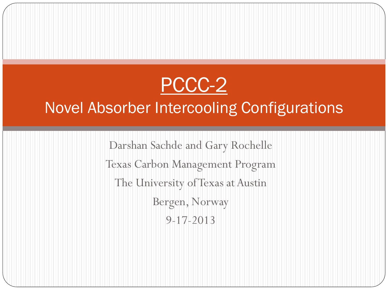### PCCC-2

### Novel Absorber Intercooling Configurations

Darshan Sachde and Gary Rochelle Texas Carbon Management Program The University of Texas at Austin Bergen, Norway 9-17-2013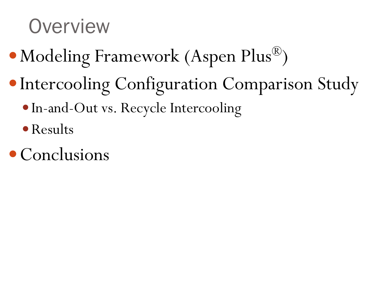## **Overview**

- Modeling Framework (Aspen Plus<sup>®</sup>)
- Intercooling Configuration Comparison Study
	- In-and-Out vs. Recycle Intercooling
	- Results
- Conclusions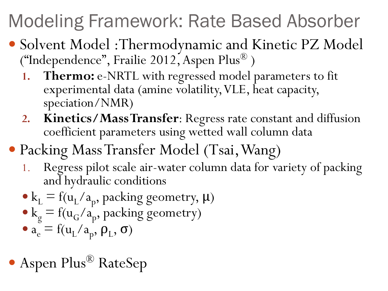# Modeling Framework: Rate Based Absorber

- Solvent Model :Thermodynamic and Kinetic PZ Model ("Independence", Frailie 2012, Aspen Plus® )
	- 1. Thermo: e-NRTL with regressed model parameters to fit experimental data (amine volatility, VLE, heat capacity, speciation/NMR)
	- **2. Kinetics/Mass Transfer**: Regress rate constant and diffusion coefficient parameters using wetted wall column data
- Packing Mass Transfer Model (Tsai, Wang)
	- 1. Regress pilot scale air-water column data for variety of packing and hydraulic conditions
	- $k_L = f(u_L/a_p)$ , packing geometry,  $\mu$ )
	- $k_g = f(u_G/a_p)$ , packing geometry)
	- $a_e = f(u_L/a_p, \rho_L, \sigma)$
- Aspen Plus<sup>®</sup> RateSep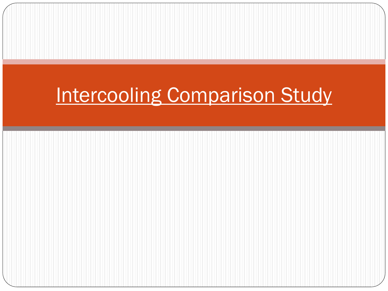## Intercooling Comparison Study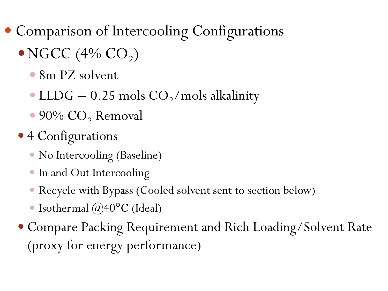- Comparison of Intercooling Configurations
	- $\bullet$  NGCC (4% CO<sub>2</sub>)
		- 8m PZ solvent
		- LLDG =  $0.25$  mols  $CO<sub>2</sub>/$  mols alkalinity
		- $\bullet$  90% CO<sub>2</sub> Removal
	- 4 Configurations
		- No Intercooling (Baseline)
		- In and Out Intercooling
		- Recycle with Bypass (Cooled solvent sent to section below)
		- Isothermal  $(\partial 40^{\circ}$ C (Ideal)
	- Compare Packing Requirement and Rich Loading/Solvent Rate (proxy for energy performance)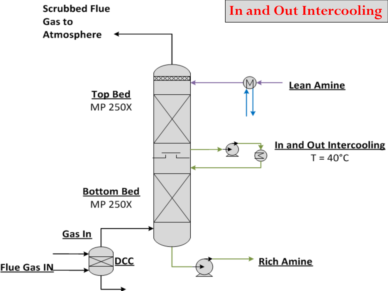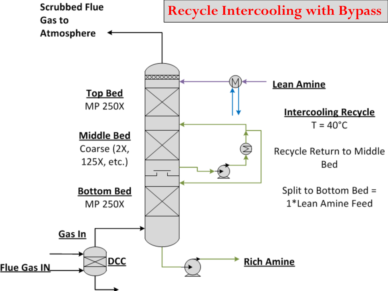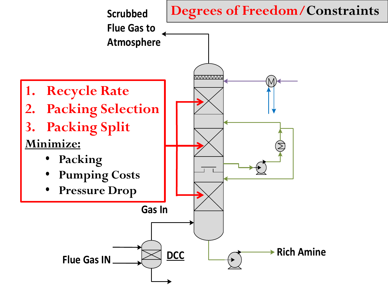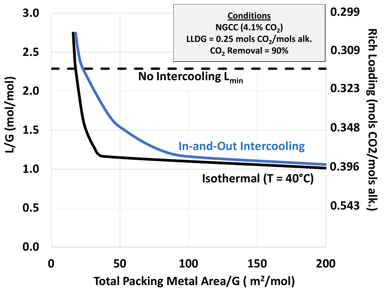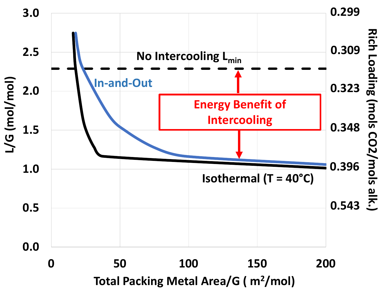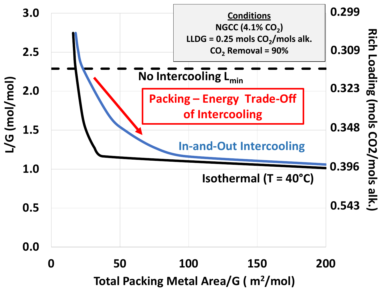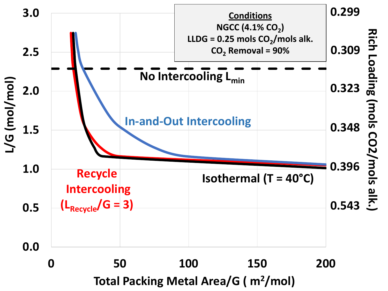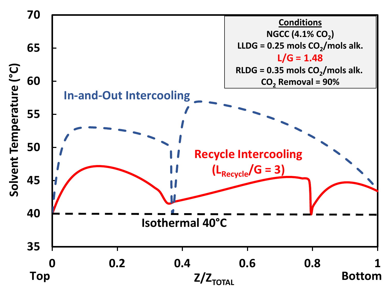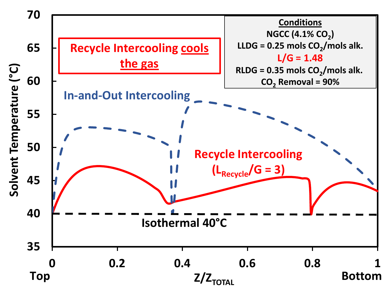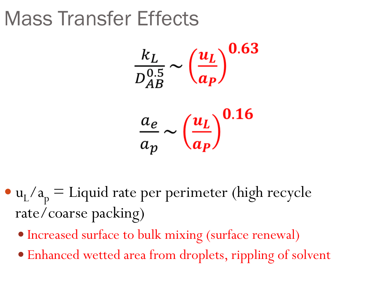## Mass Transfer Effects

$$
\frac{k_L}{D_{AB}^{0.5}} \sim \left(\frac{u_L}{a_P}\right)^{0.63}
$$

$$
\frac{a_e}{a_p} \sim \left(\frac{u_L}{a_P}\right)^{0.16}
$$

- $u_L/a_p =$  Liquid rate per perimeter (high recycle rate/coarse packing)
	- Increased surface to bulk mixing (surface renewal)
	- Enhanced wetted area from droplets, rippling of solvent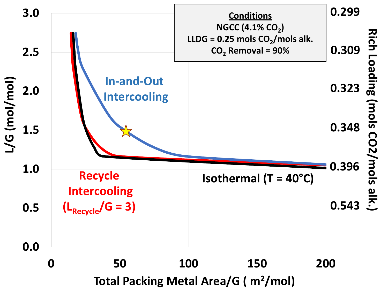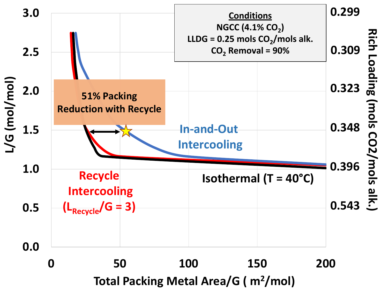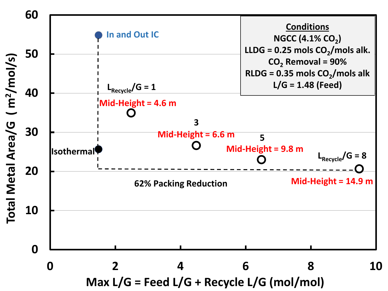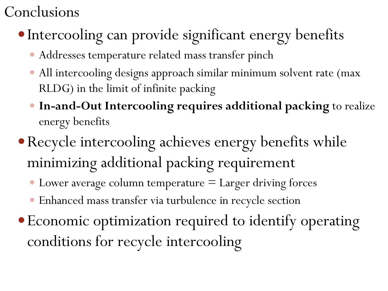### Conclusions

- Intercooling can provide significant energy benefits
	- Addresses temperature related mass transfer pinch
	- All intercooling designs approach similar minimum solvent rate (max RLDG) in the limit of infinite packing
	- **In-and-Out Intercooling requires additional packing** to realize energy benefits
- Recycle intercooling achieves energy benefits while minimizing additional packing requirement
	- $\bullet$  Lower average column temperature  $=$  Larger driving forces
	- Enhanced mass transfer via turbulence in recycle section
- Economic optimization required to identify operating conditions for recycle intercooling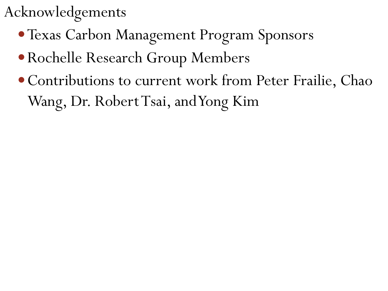### Acknowledgements

- Texas Carbon Management Program Sponsors
- Rochelle Research Group Members
- Contributions to current work from Peter Frailie, Chao Wang, Dr. Robert Tsai, and Yong Kim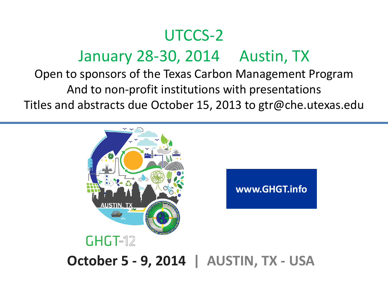### UTCCS-2 January 28-30, 2014 Austin, TX

#### Open to sponsors of the Texas Carbon Management Program And to non-profit institutions with presentations Titles and abstracts due October 15, 2013 to gtr@che.utexas.edu



**October 5 - 9, 2014 | AUSTIN, TX - USA**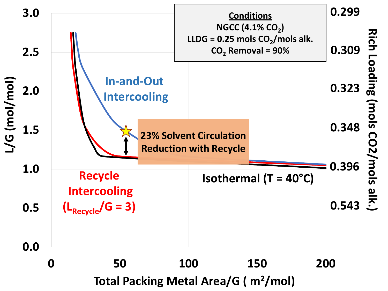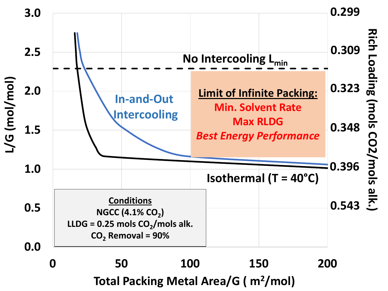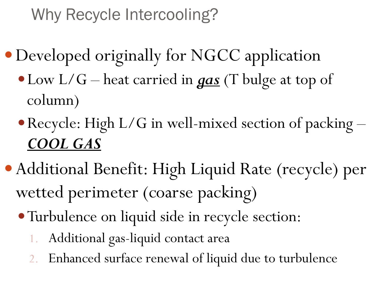### Why Recycle Intercooling?

- Developed originally for NGCC application
	- Low L/G heat carried in *gas* (T bulge at top of column)
	- Recycle: High L/G in well-mixed section of packing *COOL GAS*
- Additional Benefit: High Liquid Rate (recycle) per wetted perimeter (coarse packing)
	- Turbulence on liquid side in recycle section:
		- 1. Additional gas-liquid contact area
		- 2. Enhanced surface renewal of liquid due to turbulence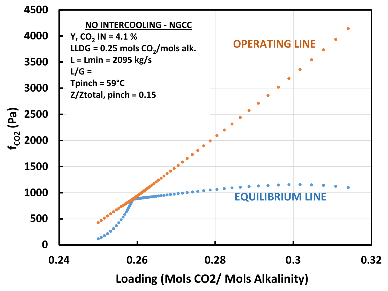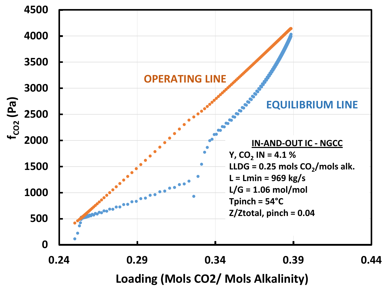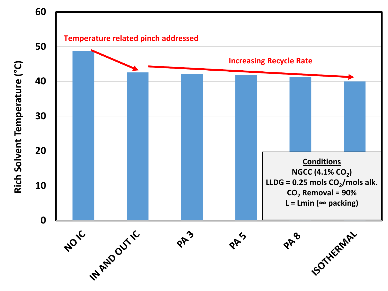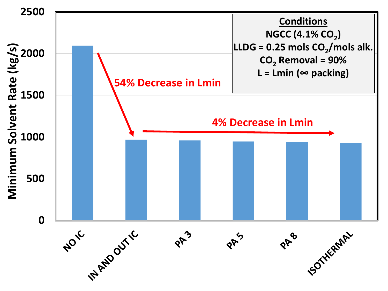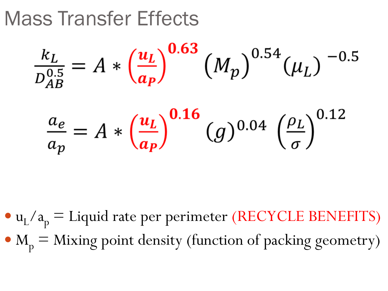Mass Transfer Effects

 $a_p$ 

$$
\frac{k_L}{D_{AB}^{0.5}} = A * \left(\frac{u_L}{a_P}\right)^{0.63} (M_p)^{0.54} (\mu_L)^{-0.5}
$$

$$
\frac{a_e}{a_p} = A * \left(\frac{u_L}{a_P}\right)^{0.16} (g)^{0.04} \left(\frac{\rho_L}{\sigma}\right)^{0.12}
$$

\n- $$
u_L/a_p =
$$
 Liquid rate per perimeter (RECYCLE BENEFITS)
\n- $M_p =$  Mixing point density (function of packing geometry)
\n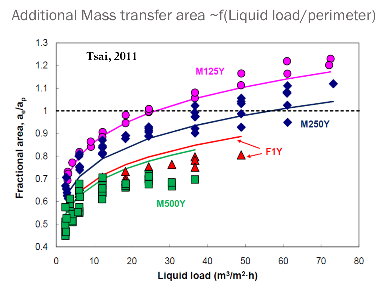Additional Mass transfer area ~f(Liquid load/perimeter)